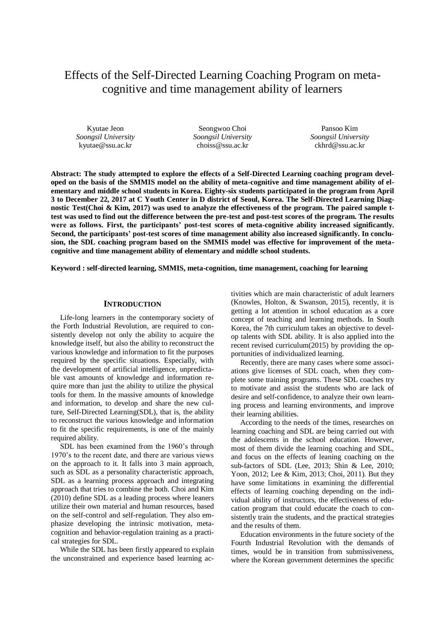# Effects of the Self-Directed Learning Coaching Program on metacognitive and time management ability of learners

Kyutae Jeon *Soongsil University* kyutae@ssu.ac.kr

Seongwoo Choi *Soongsil University* choiss@ssu.ac.kr

Pansoo Kim *Soongsil University* ckhrd@ssu.ac.kr

**Abstract: The study attempted to explore the effects of a Self-Directed Learning coaching program developed on the basis of the SMMIS model on the ability of meta-cognitive and time management ability of elementary and middle school students in Korea. Eighty-six students participated in the program from April 3 to December 22, 2017 at C Youth Center in D district of Seoul, Korea. The Self-Directed Learning Diagnostic Test(Choi & Kim, 2017) was used to analyze the effectiveness of the program. The paired sample ttest was used to find out the difference between the pre-test and post-test scores of the program. The results were as follows. First, the participants' post-test scores of meta-cognitive ability increased significantly. Second, the participants' post-test scores of time management ability also increased significantly. In conclusion, the SDL coaching program based on the SMMIS model was effective for improvement of the metacognitive and time management ability of elementary and middle school students.**

**Keyword : self-directed learning, SMMIS, meta-cognition, time management, coaching for learning**

## **INTRODUCTION**

Life-long learners in the contemporary society of the Forth Industrial Revolution, are required to consistently develop not only the ability to acquire the knowledge itself, but also the ability to reconstruct the various knowledge and information to fit the purposes required by the specific situations. Especially, with the development of artificial intelligence, unpredictable vast amounts of knowledge and information require more than just the ability to utilize the physical tools for them. In the massive amounts of knowledge and information, to develop and share the new culture, Self-Directed Learning(SDL), that is, the ability to reconstruct the various knowledge and information to fit the specific requirements, is one of the mainly required ability.

SDL has been examined from the 1960's through 1970's to the recent date, and there are various views on the approach to it. It falls into 3 main approach, such as SDL as a personality characteristic approach, SDL as a learning process approach and integrating approach that tries to combine the both. Choi and Kim (2010) define SDL as a leading process where leaners utilize their own material and human resources, based on the self-control and self-regulation. They also emphasize developing the intrinsic motivation, metacognition and behavior-regulation training as a practical strategies for SDL.

While the SDL has been firstly appeared to explain the unconstrained and experience based learning ac-

tivities which are main characteristic of adult learners (Knowles, Holton, & Swanson, 2015), recently, it is getting a lot attention in school education as a core concept of teaching and learning methods. In South Korea, the 7th curriculum takes an objective to develop talents with SDL ability. It is also applied into the recent revised curriculum(2015) by providing the opportunities of individualized learning.

Recently, there are many cases where some associations give licenses of SDL coach, when they complete some training programs. These SDL coaches try to motivate and assist the students who are lack of desire and self-confidence, to analyze their own learning process and learning environments, and improve their learning abilities.

According to the needs of the times, researches on learning coaching and SDL are being carried out with the adolescents in the school education. However, most of them divide the learning coaching and SDL, and focus on the effects of leaning coaching on the sub-factors of SDL (Lee, 2013; Shin & Lee, 2010; Yoon, 2012; Lee & Kim, 2013; Choi, 2011). But they have some limitations in examining the differential effects of learning coaching depending on the individual ability of instructors, the effectiveness of education program that could educate the coach to consistently train the students, and the practical strategies and the results of them.

Education environments in the future society of the Fourth Industrial Revolution with the demands of times, would be in transition from submissiveness, where the Korean government determines the specific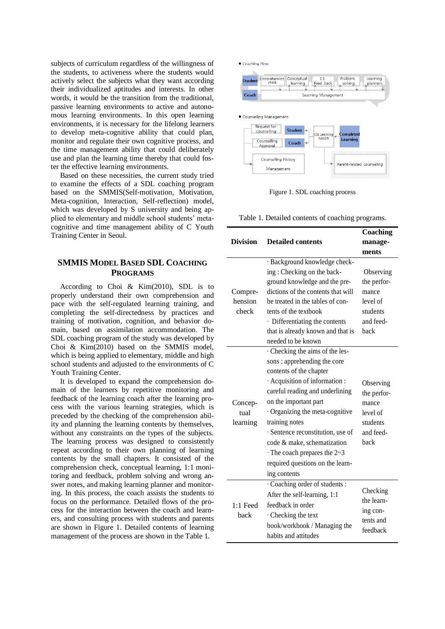subjects of curriculum regardless of the willingness of the students, to activeness where the students would actively select the subjects what they want according their individualized aptitudes and interests. In other words, it would be the transition from the traditional, passive learning environments to active and autonomous learning environments. In this open learning environments, it is necessary for the lifelong learners to develop meta-cognitive ability that could plan, monitor and regulate their own cognitive process, and the time management ability that could deliberately use and plan the learning time thereby that could foster the effective learning environments.

Based on these necessities, the current study tried to examine the effects of a SDL coaching program based on the SMMIS(Self-motivation, Motivation, Meta-cognition, Interaction, Self-reflection) model, which was developed by S university and being applied to elementary and middle school students' metacognitive and time management ability of C Youth Training Center in Seoul.

# **SMMIS MODEL BASED SDL COACHING PROGRAMS**

According to Choi & Kim(2010), SDL is to properly understand their own comprehension and pace with the self-regulated learning training, and completing the self-directedness by practices and training of motivation, cognition, and behavior domain, based on assimilation accommodation. The SDL coaching program of the study was developed by Choi & Kim(2010) based on the SMMIS model, which is being applied to elementary, middle and high school students and adjusted to the environments of C Youth Training Center.

It is developed to expand the comprehension domain of the learners by repetitive monitoring and feedback of the learning coach after the learning process with the various learning strategies, which is preceded by the checking of the comprehension ability and planning the learning contents by themselves, without any constraints on the types of the subjects. The learning process was designed to consistently repeat according to their own planning of learning contents by the small chapters. It consisted of the comprehension check, conceptual learning, 1:1 monitoring and feedback, problem solving and wrong answer notes, and making learning planner and monitoring. In this process, the coach assists the students to focus on the performance. Detailed flows of the process for the interaction between the coach and learners, and consulting process with students and parents are shown in Figure 1. Detailed contents of learning management of the process are shown in the Table 1.



Figure 1. SDL coaching process

Table 1. Detailed contents of coaching programs.

|                    |                                    | Coaching              |  |  |  |
|--------------------|------------------------------------|-----------------------|--|--|--|
| <b>Division</b>    | <b>Detailed contents</b>           | manage-               |  |  |  |
|                    |                                    | ments                 |  |  |  |
|                    | · Background knowledge check-      |                       |  |  |  |
|                    | ing: Checking on the back-         | Observing             |  |  |  |
|                    | ground knowledge and the pre-      | the perfor-           |  |  |  |
| Compre-            | dictions of the contents that will | mance                 |  |  |  |
| hension            | be treated in the tables of con-   | level of              |  |  |  |
| check              | tents of the textbook              | students              |  |  |  |
|                    | · Differentiating the contents     | and feed-             |  |  |  |
|                    | that is already known and that is  | back                  |  |  |  |
|                    | needed to be known                 |                       |  |  |  |
| Concep-<br>tual    | Checking the aims of the les-      |                       |  |  |  |
|                    | sons: apprehending the core        |                       |  |  |  |
|                    | contents of the chapter            |                       |  |  |  |
|                    | · Acquisition of information :     | Observing             |  |  |  |
|                    | careful reading and underlining    | the perfor-           |  |  |  |
|                    | on the important part              | mance                 |  |  |  |
|                    | Organizing the meta-cognitive      | level of              |  |  |  |
| learning           | training notes                     | students              |  |  |  |
|                    | · Sentence reconstitution, use of  | and feed-             |  |  |  |
|                    | code & make, schematization        | hack                  |  |  |  |
|                    | $\cdot$ The coach prepares the 2~3 |                       |  |  |  |
|                    | required questions on the learn-   |                       |  |  |  |
|                    | ing contents                       |                       |  |  |  |
| $1:1$ Feed<br>back | Coaching order of students :       | Checking              |  |  |  |
|                    | After the self-learning, 1:1       |                       |  |  |  |
|                    | feedback in order                  | the learn-            |  |  |  |
|                    | Checking the text                  | ing con-              |  |  |  |
|                    | book/workbook / Managing the       | tents and<br>feedback |  |  |  |
|                    | habits and attitudes               |                       |  |  |  |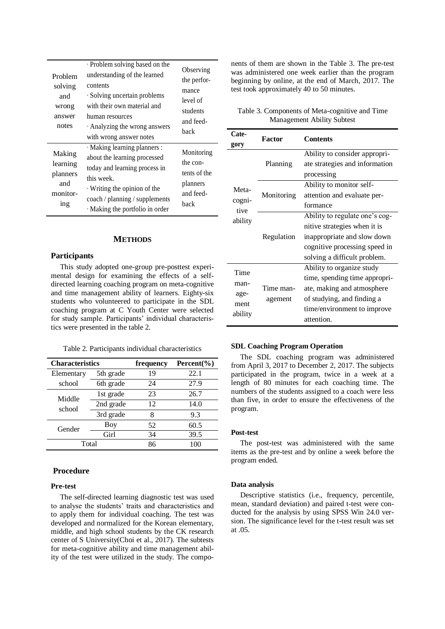| Problem<br>solving<br>and<br>wrong<br>answer<br>notes                                                          | · Problem solving based on the<br>understanding of the learned<br>contents<br>· Solving uncertain problems<br>with their own material and<br>human resources<br>$\cdot$ Analyzing the wrong answers<br>with wrong answer notes | Observing<br>the perfor-<br>mance<br>level of<br>students<br>and feed-<br>back |
|----------------------------------------------------------------------------------------------------------------|--------------------------------------------------------------------------------------------------------------------------------------------------------------------------------------------------------------------------------|--------------------------------------------------------------------------------|
| Making<br>learning<br>planners<br>and<br>monitor-<br>$\frac{\text{in} \, \mathbf{g}}{\text{in} \, \mathbf{g}}$ | · Making learning planners :<br>about the learning processed<br>today and learning process in<br>this week.<br>$\cdot$ Writing the opinion of the<br>coach / planning / supplements<br>· Making the portfolio in order         | Monitoring<br>the con-<br>tents of the<br>planners<br>and feed-<br>hack        |

#### **METHODS**

#### **Participants**

This study adopted one-group pre-posttest experimental design for examining the effects of a selfdirected learning coaching program on meta-cognitive and time management ability of learners. Eighty-six students who volunteered to participate in the SDL coaching program at C Youth Center were selected for study sample. Participants' individual characteristics were presented in the table 2.

Table 2. Participants individual characteristics

| <b>Characteristics</b> |            | frequency<br>Percent $(\% )$ |      |
|------------------------|------------|------------------------------|------|
| Elementary             | 5th grade  | 19                           | 22.1 |
| school                 | 6th grade  | 24                           | 27.9 |
| Middle<br>school       | 1st grade  | 23                           | 26.7 |
|                        | 2nd grade  | 12                           | 14.0 |
|                        | 3rd grade  | 8                            | 9.3  |
| Gender                 | <b>Boy</b> | 52                           | 60.5 |
|                        | Girl       | 34                           | 39.5 |
| Total                  |            | 86                           | 100  |

# **Procedure**

#### **Pre-test**

The self-directed learning diagnostic test was used to analyse the students' traits and characteristics and to apply them for individual coaching. The test was developed and normalized for the Korean elementary, middle, and high school students by the CK research center of S University(Choi et al., 2017). The subtests for meta-cognitive ability and time management ability of the test were utilized in the study. The components of them are shown in the Table 3. The pre-test was administered one week earlier than the program beginning by online, at the end of March, 2017. The test took approximately 40 to 50 minutes.

# Table 3. Components of Meta-cognitive and Time Management Ability Subtest

| Cate-<br>gory                           | <b>Factor</b>        | <b>Contents</b>                                                                                                                                                     |  |  |
|-----------------------------------------|----------------------|---------------------------------------------------------------------------------------------------------------------------------------------------------------------|--|--|
| Meta-<br>cogni-<br>tive<br>ability      | Planning             | Ability to consider appropri-<br>ate strategies and information<br>processing<br>Ability to monitor self-                                                           |  |  |
|                                         | Monitoring           | attention and evaluate per-<br>formance                                                                                                                             |  |  |
|                                         | Regulation           | Ability to regulate one's cog-<br>nitive strategies when it is<br>inappropriate and slow down<br>cognitive processing speed in<br>solving a difficult problem.      |  |  |
| Time<br>man-<br>age-<br>ment<br>ability | Time man-<br>agement | Ability to organize study<br>time, spending time appropri-<br>ate, making and atmosphere<br>of studying, and finding a<br>time/environment to improve<br>attention. |  |  |

### **SDL Coaching Program Operation**

The SDL coaching program was administered from April 3, 2017 to December 2, 2017. The subjects participated in the program, twice in a week at a length of 80 minutes for each coaching time. The numbers of the students assigned to a coach were less than five, in order to ensure the effectiveness of the program.

#### **Post-test**

The post-test was administered with the same items as the pre-test and by online a week before the program ended.

#### **Data analysis**

Descriptive statistics (i.e., frequency, percentile, mean, standard deviation) and paired t-test were conducted for the analysis by using SPSS Win 24.0 version. The significance level for the t-test result was set at  $.05$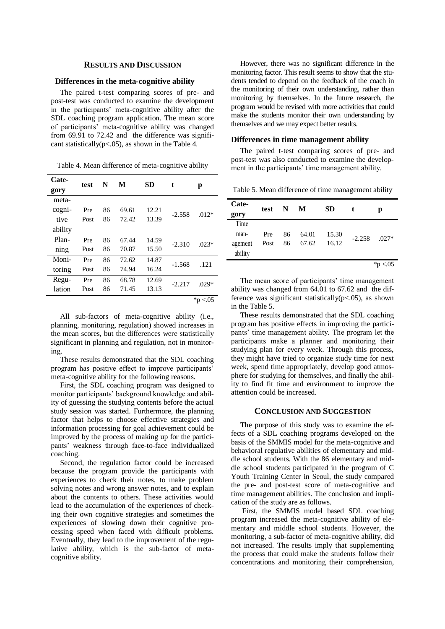# **RESULTS AND DISCUSSION**

## **Differences in the meta-cognitive ability**

The paired t-test comparing scores of pre- and post-test was conducted to examine the development in the participants' meta-cognitive ability after the SDL coaching program application. The mean score of participants' meta-cognitive ability was changed from 69.91 to 72.42 and the difference was significant statistically( $p < .05$ ), as shown in the Table 4.

Table 4. Mean difference of meta-cognitive ability

| Cate-   | test | N  | М     | SD    | t        |              |
|---------|------|----|-------|-------|----------|--------------|
| gory    |      |    |       |       |          | р            |
| meta-   |      |    |       |       |          |              |
| cogni-  | Pre  | 86 | 69.61 | 12.21 | $-2.558$ | $.012*$      |
| tive    | Post | 86 | 72.42 | 13.39 |          |              |
| ability |      |    |       |       |          |              |
| Plan-   | Pre  | 86 | 67.44 | 14.59 | $-2.310$ | $.023*$      |
| ning    | Post | 86 | 70.87 | 15.50 |          |              |
| Moni-   | Pre  | 86 | 72.62 | 14.87 |          |              |
| toring  | Post | 86 | 74.94 | 16.24 | $-1.568$ | .121         |
| Regu-   | Pre  | 86 | 68.78 | 12.69 | $-2.217$ | $.029*$      |
| lation  | Post | 86 | 71.45 | 13.13 |          |              |
|         |      |    |       |       |          | * $p < 0.05$ |

All sub-factors of meta-cognitive ability (i.e., planning, monitoring, regulation) showed increases in the mean scores, but the differences were statistically significant in planning and regulation, not in monitoring.

These results demonstrated that the SDL coaching program has positive effect to improve participants' meta-cognitive ability for the following reasons.

First, the SDL coaching program was designed to monitor participants' background knowledge and ability of guessing the studying contents before the actual study session was started. Furthermore, the planning factor that helps to choose effective strategies and information processing for goal achievement could be improved by the process of making up for the participants' weakness through face-to-face individualized coaching.

Second, the regulation factor could be increased because the program provide the participants with experiences to check their notes, to make problem solving notes and wrong answer notes, and to explain about the contents to others. These activities would lead to the accumulation of the experiences of checking their own cognitive strategies and sometimes the experiences of slowing down their cognitive processing speed when faced with difficult problems. Eventually, they lead to the improvement of the regulative ability, which is the sub-factor of metacognitive ability.

However, there was no significant difference in the monitoring factor. This result seems to show that the students tended to depend on the feedback of the coach in the monitoring of their own understanding, rather than monitoring by themselves. In the future research, the program would be revised with more activities that could make the students monitor their own understanding by themselves and we may expect better results.

## **Differences in time management ability**

The paired t-test comparing scores of pre- and post-test was also conducted to examine the development in the participants' time management ability.

Table 5. Mean difference of time management ability

| Cate-<br>gory | test | $\mathbf N$ | M     | <b>SD</b> | t              | р            |
|---------------|------|-------------|-------|-----------|----------------|--------------|
| Time          |      |             |       |           |                |              |
| man-          | Pre  | 86          | 64.01 | 15.30     | $-2.258$ .027* |              |
| agement       | Post | 86          | 67.62 | 16.12     |                |              |
| ability       |      |             |       |           |                |              |
|               |      |             |       |           |                | * $p < 0.05$ |

The mean score of participants' time management ability was changed from 64.01 to 67.62 and the difference was significant statistically( $p$ <.05), as shown in the Table 5.

These results demonstrated that the SDL coaching program has positive effects in improving the participants' time management ability. The program let the participants make a planner and monitoring their studying plan for every week. Through this process, they might have tried to organize study time for next week, spend time appropriately, develop good atmosphere for studying for themselves, and finally the ability to find fit time and environment to improve the attention could be increased.

## **CONCLUSION AND SUGGESTION**

The purpose of this study was to examine the effects of a SDL coaching programs developed on the basis of the SMMIS model for the meta-cognitive and behavioral regulative abilities of elementary and middle school students. With the 86 elementary and middle school students participated in the program of C Youth Training Center in Seoul, the study compared the pre- and post-test score of meta-cognitive and time management abilities. The conclusion and implication of the study are as follows.

First, the SMMIS model based SDL coaching program increased the meta-cognitive ability of elementary and middle school students. However, the monitoring, a sub-factor of meta-cognitive ability, did not increased. The results imply that supplementing the process that could make the students follow their concentrations and monitoring their comprehension,